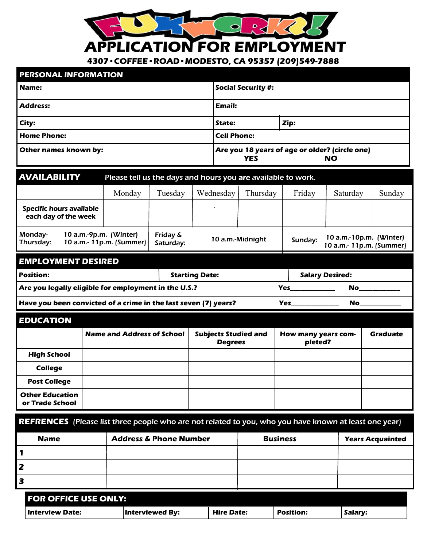*APPLICATION FOR EMPLOYMENT* 

D.

*4307•COFFEE•ROAD•MODESTO, CA 95357 (209)549-7888* 

| <b>PERSONAL INFORMATION</b> |                                                                    |      |  |
|-----------------------------|--------------------------------------------------------------------|------|--|
| <b>Name:</b>                | <b>Social Security #:</b>                                          |      |  |
| Address:                    | Email:                                                             |      |  |
| City:                       | State:                                                             | Zip: |  |
| <b>Home Phone:</b>          | <b>Cell Phone:</b>                                                 |      |  |
| Other names known by:       | Are you 18 years of age or older? (circle one)<br><b>YES</b><br>NO |      |  |

| <b>AVAILABILITY</b>                              | Please tell us the days and hours you are available to work. |                       |           |                  |         |                                                     |        |
|--------------------------------------------------|--------------------------------------------------------------|-----------------------|-----------|------------------|---------|-----------------------------------------------------|--------|
|                                                  | Monday                                                       | Tuesdav               | Wednesday | Thursday         | Friday  | Saturday                                            | Sunday |
| Specific hours available<br>each day of the week |                                                              |                       |           |                  |         |                                                     |        |
| Monday-<br>10 $a.m.-9p.m.$ (Winter)<br>Thursday: | 10 a.m.- 11p.m. (Summer)                                     | Friday &<br>Saturday: |           | 10 a.m.-Midnight | Sunday: | 10 a.m.-10p.m. (Winter)<br>10 a.m.- 11p.m. (Summer) |        |

## *EMPLOYMENT DESIRED*

| l Position:                                                     | <b>Starting Date:</b> |  | <b>Salary Desired:</b> |  |
|-----------------------------------------------------------------|-----------------------|--|------------------------|--|
| Are you legally eligible for employment in the U.S.?            |                       |  | Yes<br>No              |  |
| Have you been convicted of a crime in the last seven (7) years? |                       |  | <b>Yes</b><br>No       |  |

| <b>EDUCATION</b>                          |                                   |                                               |                                |          |
|-------------------------------------------|-----------------------------------|-----------------------------------------------|--------------------------------|----------|
|                                           | <b>Name and Address of School</b> | <b>Subjects Studied and</b><br><b>Degrees</b> | How many years com-<br>pleted? | Graduate |
| <b>High School</b>                        |                                   |                                               |                                |          |
| <b>College</b>                            |                                   |                                               |                                |          |
| <b>Post College</b>                       |                                   |                                               |                                |          |
| <b>Other Education</b><br>or Trade School |                                   |                                               |                                |          |

|  | <b>REFRENCES</b> (Please list three people who are not related to you, who you have known at least one year) |  |  |
|--|--------------------------------------------------------------------------------------------------------------|--|--|
|  |                                                                                                              |  |  |

| <b>Name</b> | <b>Address &amp; Phone Number</b> | <b>Business</b> | <b>Years Acquainted</b> |
|-------------|-----------------------------------|-----------------|-------------------------|
|             |                                   |                 |                         |
|             |                                   |                 |                         |
| з           |                                   |                 |                         |
|             |                                   |                 |                         |

| <b>FOR OFFICE USE ONLY:</b> |                 |                   |                  |         |  |
|-----------------------------|-----------------|-------------------|------------------|---------|--|
| Interview Date:             | Interviewed By: | <b>Hire Date:</b> | <b>Position:</b> | Salary: |  |